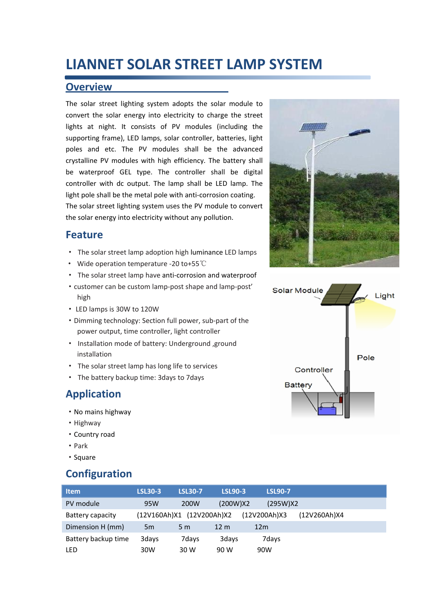## **LIANNET SOLAR STREET LAMP SYSTEM**

#### **Overview**

The solar street lighting system adopts the solar module to convert the solar energy into electricity to charge the street lights at night. It consists of PV modules (including the supporting frame), LED lamps, solar controller, batteries, light poles and etc. The PV modules shall be the advanced crystalline PV modules with high efficiency. The battery shall be waterproof GEL type. The controller shall be digital controller with dc output. The lamp shall be LED lamp. The light pole shall be the metal pole with anti-corrosion coating. The solar street lighting system uses the PV module to convert the solar energy into electricity without any pollution.

#### **Feature**

- · The solar street lamp adoption high luminance LED lamps
- · Wide operation temperature -20 to+55℃
- · The solar street lamp have anti-corrosion and waterproof
- ·customer can be custom lamp-post shape and lamp-post' high
- · LED lamps is 30W to 120W
- ·Dimming technology: Section full power, sub-part of the power output, time controller, light controller
- · Installation mode of battery: Underground ,ground installation
- · The solar street lamp has long life to services
- · The battery backup time: 3days to 7days

### **Application**

- ·No mains highway
- ·Highway
- ·Country road
- ·Park
- ·Square

### **Configuration**

| <b>Item</b>         | <b>LSL30-3</b> | <b>LSL30-7</b>            | <b>LSL90-3</b>  | <b>LSL90-7</b>  |              |
|---------------------|----------------|---------------------------|-----------------|-----------------|--------------|
| PV module           | 95W            | 200W                      | (200W)X2        | (295W)X2        |              |
| Battery capacity    |                | (12V160Ah)X1 (12V200Ah)X2 |                 | (12V200Ah)X3    | (12V260Ah)X4 |
| Dimension H (mm)    | 5 <sub>m</sub> | 5 <sub>m</sub>            | 12 <sub>m</sub> | 12 <sub>m</sub> |              |
| Battery backup time | 3days          | 7days                     | 3days           | 7days           |              |
| LED                 | 30W            | 30 W                      | 90 W            | 90W             |              |



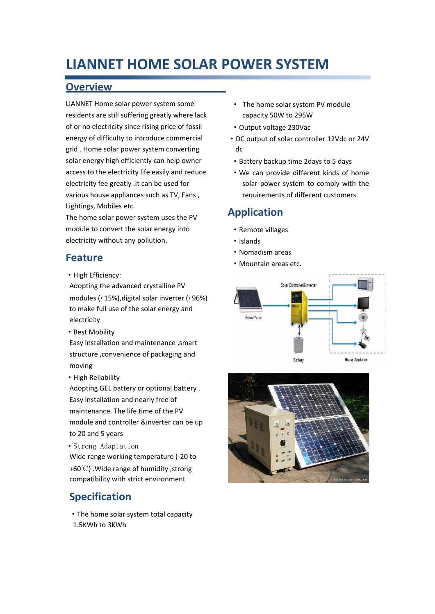## **LIANNET HOME SOLAR POWER SYSTEM**

#### **Overview**

LIANNET Home solar power system some residents are still suffering greatly where lack of or no electricity since rising price of fossil energy of difficulty to introduce commercial grid . Home solar power system converting solar energy high efficiently can help owner access to the electricity life easily and reduce electricity fee greatly .It can be used for various house appliances such as TV, Fans , Lightings, Mobiles etc.

The home solar power system uses the PV module to convert the solar energy into electricity without any pollution.

### **Feature**

·High Efficiency:

Adopting the advanced crystalline PV modules (‹15%),digital solar inverter (‹96%) to make full use of the solar energy and electricity

- Best Mobility
- Easy installation and maintenance ,smart structure ,convenience of packaging and moving
- High Reliability

Adopting GEL battery or optional battery . Easy installation and nearly free of maintenance. The life time of the PV module and controller &inverter can be up to 20 and 5 years

·Strong Adaptation

Wide range working temperature (-20 to

+60℃) .Wide range of humidity ,strong compatibility with strict environment

## **Specification**

·The home solar system total capacity 1.5KWh to 3KWh

- · The home solar system PV module capacity 50W to 295W
- ·Output voltage 230Vac
- ·DC output of solar controller 12Vdc or 24V dc
- ·Battery backup time 2days to 5 days
- ·We can provide different kinds of home solar power system to comply with the requirements of different customers.

### **Application**

- ·Remote villages
- ·Islands
- ·Nomadism areas
- ·Mountain areas etc.



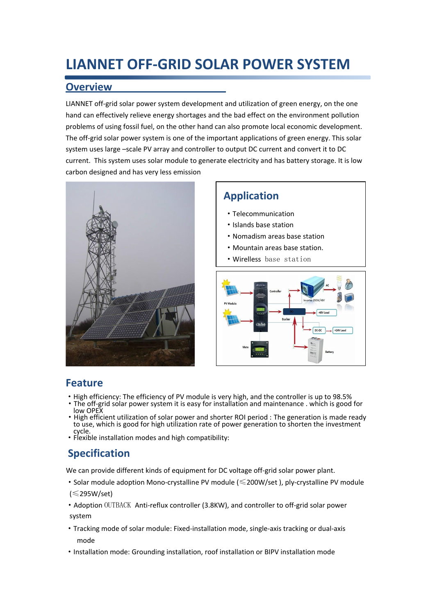# **LIANNET OFF-GRID SOLAR POWER SYSTEM**

### **Overview**

LIANNET off-grid solar power system development and utilization of green energy, on the one hand can effectively relieve energy shortages and the bad effect on the environment pollution problems of using fossil fuel, on the other hand can also promote local economic development. The off-grid solar power system is one of the important applications of green energy. This solar system uses large –scale PV array and controller to output DC current and convert it to DC current. This system uses solar module to generate electricity and has battery storage. It is low carbon designed and has very less emission



## **Application**

- ·Telecommunication
- ·Islands base station
- ·Nomadism areas base station
- ·Mountain areas base station.
- ·Wirelless base station



### **Feature**

- ·High efficiency: The efficiency of PV module is very high, and the controller is up to 98.5%
- ·The off-grid solar power system it is easy for installation and maintenance . which is good for low OPEX
- ·High efficient utilization of solar power and shorter ROI period : The generation is made ready to use, which is good for high utilization rate of power generation to shorten the investment cycle.
- ·Flexible installation modes and high compatibility:

## **Specification**

We can provide different kinds of equipment for DC voltage off-grid solar power plant.

- ·Solar module adoption Mono-crystalline PV module (≤200W/set ), ply-crystalline PV module (≤295W/set)
- ·Adoption OUTBACK Anti-reflux controller (3.8KW), and controller to off-grid solar power system
- ·Tracking mode of solar module: Fixed-installation mode, single-axis tracking or dual-axis mode
- ·Installation mode: Grounding installation, roof installation or BIPV installation mode